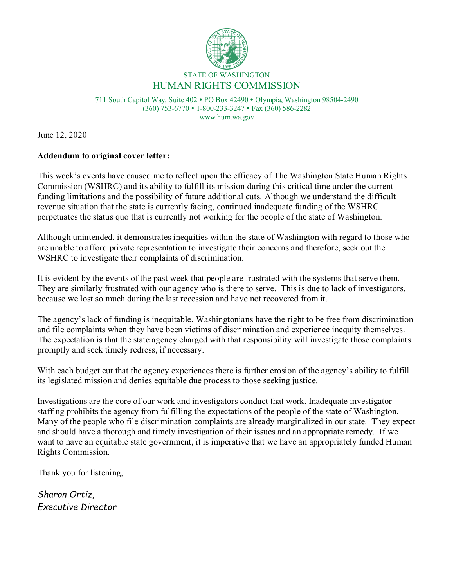

711 South Capitol Way, Suite 402 PO Box 42490 Olympia, Washington 98504-2490 (360) 753-6770 1-800-233-3247 Fax (360) 586-2282 www.hum.wa.gov

June 12, 2020

## **Addendum to original cover letter:**

This week's events have caused me to reflect upon the efficacy of The Washington State Human Rights Commission (WSHRC) and its ability to fulfill its mission during this critical time under the current funding limitations and the possibility of future additional cuts. Although we understand the difficult revenue situation that the state is currently facing, continued inadequate funding of the WSHRC perpetuates the status quo that is currently not working for the people of the state of Washington.

Although unintended, it demonstrates inequities within the state of Washington with regard to those who are unable to afford private representation to investigate their concerns and therefore, seek out the WSHRC to investigate their complaints of discrimination.

It is evident by the events of the past week that people are frustrated with the systems that serve them. They are similarly frustrated with our agency who is there to serve. This is due to lack of investigators, because we lost so much during the last recession and have not recovered from it.

The agency's lack of funding is inequitable. Washingtonians have the right to be free from discrimination and file complaints when they have been victims of discrimination and experience inequity themselves. The expectation is that the state agency charged with that responsibility will investigate those complaints promptly and seek timely redress, if necessary.

With each budget cut that the agency experiences there is further erosion of the agency's ability to fulfill its legislated mission and denies equitable due process to those seeking justice.

Investigations are the core of our work and investigators conduct that work. Inadequate investigator staffing prohibits the agency from fulfilling the expectations of the people of the state of Washington. Many of the people who file discrimination complaints are already marginalized in our state. They expect and should have a thorough and timely investigation of their issues and an appropriate remedy. If we want to have an equitable state government, it is imperative that we have an appropriately funded Human Rights Commission.

Thank you for listening,

*Sharon Ortiz, Executive Director*